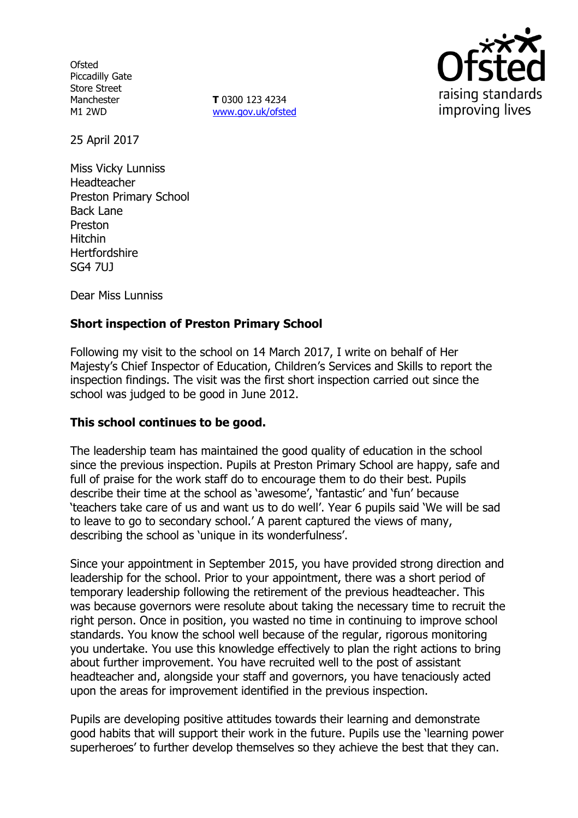**Ofsted** Piccadilly Gate Store Street Manchester M1 2WD

**T** 0300 123 4234 www.gov.uk/ofsted



25 April 2017

Miss Vicky Lunniss Headteacher Preston Primary School Back Lane Preston Hitchin **Hertfordshire** SG4 7UJ

Dear Miss Lunniss

# **Short inspection of Preston Primary School**

Following my visit to the school on 14 March 2017, I write on behalf of Her Majesty's Chief Inspector of Education, Children's Services and Skills to report the inspection findings. The visit was the first short inspection carried out since the school was judged to be good in June 2012.

## **This school continues to be good.**

The leadership team has maintained the good quality of education in the school since the previous inspection. Pupils at Preston Primary School are happy, safe and full of praise for the work staff do to encourage them to do their best. Pupils describe their time at the school as 'awesome', 'fantastic' and 'fun' because 'teachers take care of us and want us to do well'. Year 6 pupils said 'We will be sad to leave to go to secondary school.' A parent captured the views of many, describing the school as 'unique in its wonderfulness'.

Since your appointment in September 2015, you have provided strong direction and leadership for the school. Prior to your appointment, there was a short period of temporary leadership following the retirement of the previous headteacher. This was because governors were resolute about taking the necessary time to recruit the right person. Once in position, you wasted no time in continuing to improve school standards. You know the school well because of the regular, rigorous monitoring you undertake. You use this knowledge effectively to plan the right actions to bring about further improvement. You have recruited well to the post of assistant headteacher and, alongside your staff and governors, you have tenaciously acted upon the areas for improvement identified in the previous inspection.

Pupils are developing positive attitudes towards their learning and demonstrate good habits that will support their work in the future. Pupils use the 'learning power superheroes' to further develop themselves so they achieve the best that they can.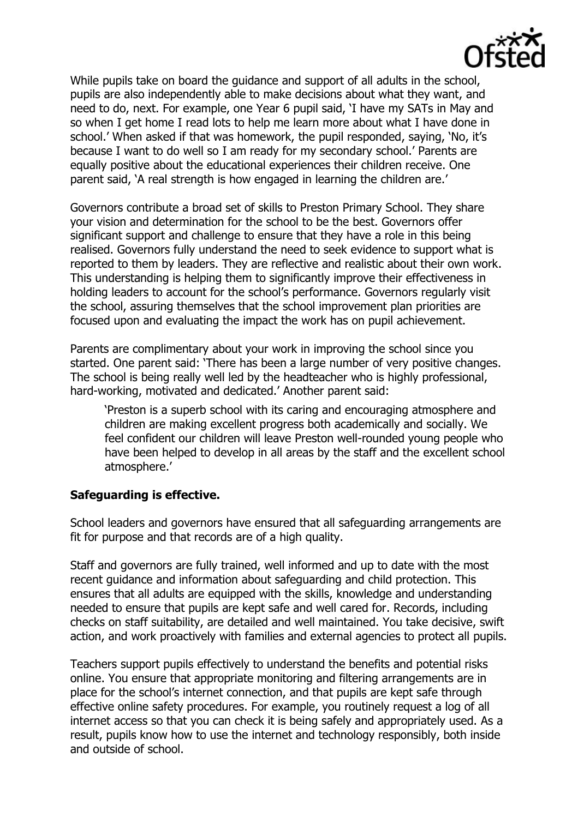While pupils take on board the guidance and support of all adults in the school, pupils are also independently able to make decisions about what they want, and need to do, next. For example, one Year 6 pupil said, 'I have my SATs in May and so when I get home I read lots to help me learn more about what I have done in school.' When asked if that was homework, the pupil responded, saying, 'No, it's because I want to do well so I am ready for my secondary school.' Parents are equally positive about the educational experiences their children receive. One parent said, 'A real strength is how engaged in learning the children are.'

Governors contribute a broad set of skills to Preston Primary School. They share your vision and determination for the school to be the best. Governors offer significant support and challenge to ensure that they have a role in this being realised. Governors fully understand the need to seek evidence to support what is reported to them by leaders. They are reflective and realistic about their own work. This understanding is helping them to significantly improve their effectiveness in holding leaders to account for the school's performance. Governors regularly visit the school, assuring themselves that the school improvement plan priorities are focused upon and evaluating the impact the work has on pupil achievement.

Parents are complimentary about your work in improving the school since you started. One parent said: 'There has been a large number of very positive changes. The school is being really well led by the headteacher who is highly professional, hard-working, motivated and dedicated.' Another parent said:

'Preston is a superb school with its caring and encouraging atmosphere and children are making excellent progress both academically and socially. We feel confident our children will leave Preston well-rounded young people who have been helped to develop in all areas by the staff and the excellent school atmosphere.'

# **Safeguarding is effective.**

School leaders and governors have ensured that all safeguarding arrangements are fit for purpose and that records are of a high quality.

Staff and governors are fully trained, well informed and up to date with the most recent guidance and information about safeguarding and child protection. This ensures that all adults are equipped with the skills, knowledge and understanding needed to ensure that pupils are kept safe and well cared for. Records, including checks on staff suitability, are detailed and well maintained. You take decisive, swift action, and work proactively with families and external agencies to protect all pupils.

Teachers support pupils effectively to understand the benefits and potential risks online. You ensure that appropriate monitoring and filtering arrangements are in place for the school's internet connection, and that pupils are kept safe through effective online safety procedures. For example, you routinely request a log of all internet access so that you can check it is being safely and appropriately used. As a result, pupils know how to use the internet and technology responsibly, both inside and outside of school.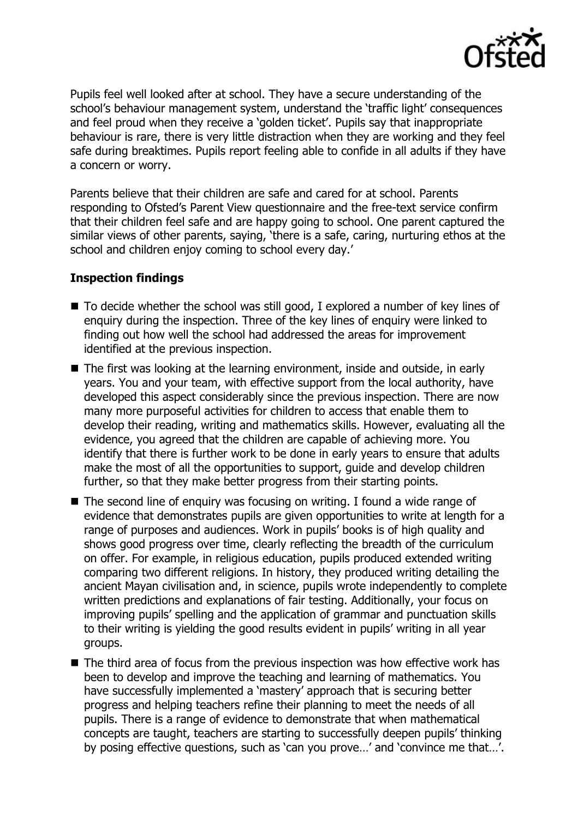

Pupils feel well looked after at school. They have a secure understanding of the school's behaviour management system, understand the 'traffic light' consequences and feel proud when they receive a 'golden ticket'. Pupils say that inappropriate behaviour is rare, there is very little distraction when they are working and they feel safe during breaktimes. Pupils report feeling able to confide in all adults if they have a concern or worry.

Parents believe that their children are safe and cared for at school. Parents responding to Ofsted's Parent View questionnaire and the free-text service confirm that their children feel safe and are happy going to school. One parent captured the similar views of other parents, saying, 'there is a safe, caring, nurturing ethos at the school and children enjoy coming to school every day.'

#### **Inspection findings**

- To decide whether the school was still good, I explored a number of key lines of enquiry during the inspection. Three of the key lines of enquiry were linked to finding out how well the school had addressed the areas for improvement identified at the previous inspection.
- The first was looking at the learning environment, inside and outside, in early years. You and your team, with effective support from the local authority, have developed this aspect considerably since the previous inspection. There are now many more purposeful activities for children to access that enable them to develop their reading, writing and mathematics skills. However, evaluating all the evidence, you agreed that the children are capable of achieving more. You identify that there is further work to be done in early years to ensure that adults make the most of all the opportunities to support, guide and develop children further, so that they make better progress from their starting points.
- The second line of enquiry was focusing on writing. I found a wide range of evidence that demonstrates pupils are given opportunities to write at length for a range of purposes and audiences. Work in pupils' books is of high quality and shows good progress over time, clearly reflecting the breadth of the curriculum on offer. For example, in religious education, pupils produced extended writing comparing two different religions. In history, they produced writing detailing the ancient Mayan civilisation and, in science, pupils wrote independently to complete written predictions and explanations of fair testing. Additionally, your focus on improving pupils' spelling and the application of grammar and punctuation skills to their writing is yielding the good results evident in pupils' writing in all year groups.
- The third area of focus from the previous inspection was how effective work has been to develop and improve the teaching and learning of mathematics. You have successfully implemented a 'mastery' approach that is securing better progress and helping teachers refine their planning to meet the needs of all pupils. There is a range of evidence to demonstrate that when mathematical concepts are taught, teachers are starting to successfully deepen pupils' thinking by posing effective questions, such as 'can you prove…' and 'convince me that…'.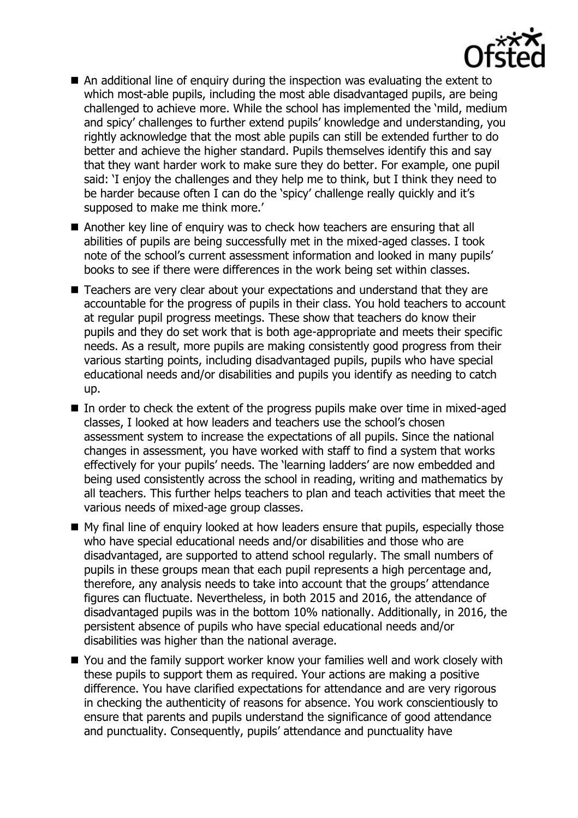

- An additional line of enquiry during the inspection was evaluating the extent to which most-able pupils, including the most able disadvantaged pupils, are being challenged to achieve more. While the school has implemented the 'mild, medium and spicy' challenges to further extend pupils' knowledge and understanding, you rightly acknowledge that the most able pupils can still be extended further to do better and achieve the higher standard. Pupils themselves identify this and say that they want harder work to make sure they do better. For example, one pupil said: 'I enjoy the challenges and they help me to think, but I think they need to be harder because often I can do the 'spicy' challenge really quickly and it's supposed to make me think more.'
- Another key line of enguiry was to check how teachers are ensuring that all abilities of pupils are being successfully met in the mixed-aged classes. I took note of the school's current assessment information and looked in many pupils' books to see if there were differences in the work being set within classes.
- Teachers are very clear about your expectations and understand that they are accountable for the progress of pupils in their class. You hold teachers to account at regular pupil progress meetings. These show that teachers do know their pupils and they do set work that is both age-appropriate and meets their specific needs. As a result, more pupils are making consistently good progress from their various starting points, including disadvantaged pupils, pupils who have special educational needs and/or disabilities and pupils you identify as needing to catch up.
- $\blacksquare$  In order to check the extent of the progress pupils make over time in mixed-aged classes, I looked at how leaders and teachers use the school's chosen assessment system to increase the expectations of all pupils. Since the national changes in assessment, you have worked with staff to find a system that works effectively for your pupils' needs. The 'learning ladders' are now embedded and being used consistently across the school in reading, writing and mathematics by all teachers. This further helps teachers to plan and teach activities that meet the various needs of mixed-age group classes.
- My final line of enquiry looked at how leaders ensure that pupils, especially those who have special educational needs and/or disabilities and those who are disadvantaged, are supported to attend school regularly. The small numbers of pupils in these groups mean that each pupil represents a high percentage and, therefore, any analysis needs to take into account that the groups' attendance figures can fluctuate. Nevertheless, in both 2015 and 2016, the attendance of disadvantaged pupils was in the bottom 10% nationally. Additionally, in 2016, the persistent absence of pupils who have special educational needs and/or disabilities was higher than the national average.
- You and the family support worker know your families well and work closely with these pupils to support them as required. Your actions are making a positive difference. You have clarified expectations for attendance and are very rigorous in checking the authenticity of reasons for absence. You work conscientiously to ensure that parents and pupils understand the significance of good attendance and punctuality. Consequently, pupils' attendance and punctuality have